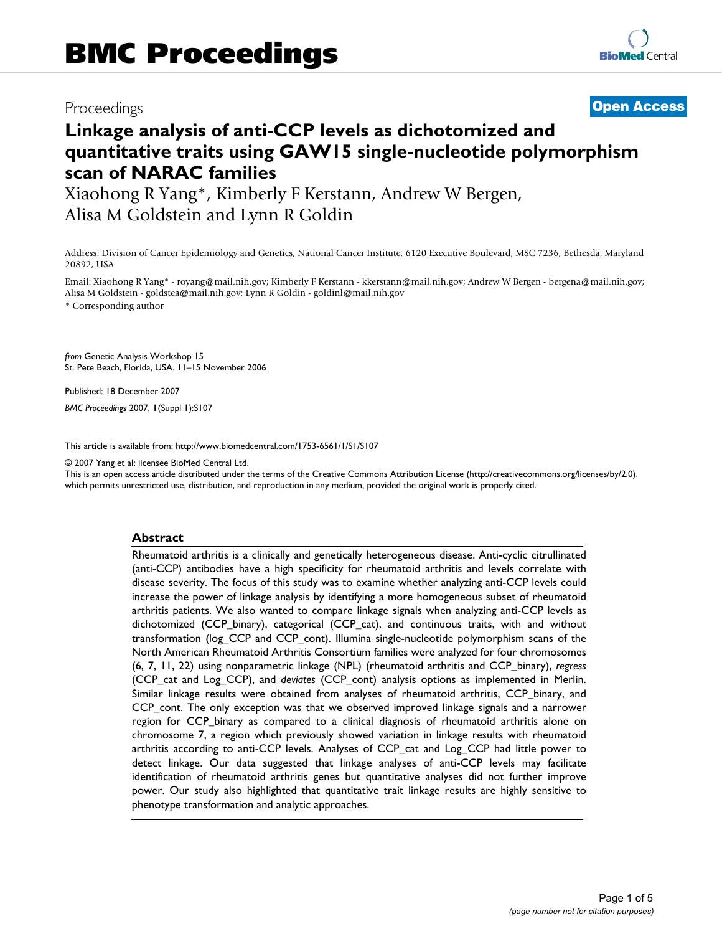## Proceedings **[Open Access](http://www.biomedcentral.com/info/about/charter/)**

# **Linkage analysis of anti-CCP levels as dichotomized and quantitative traits using GAW15 single-nucleotide polymorphism scan of NARAC families**

Xiaohong R Yang\*, Kimberly F Kerstann, Andrew W Bergen, Alisa M Goldstein and Lynn R Goldin

Address: Division of Cancer Epidemiology and Genetics, National Cancer Institute, 6120 Executive Boulevard, MSC 7236, Bethesda, Maryland 20892, USA

Email: Xiaohong R Yang\* - royang@mail.nih.gov; Kimberly F Kerstann - kkerstann@mail.nih.gov; Andrew W Bergen - bergena@mail.nih.gov; Alisa M Goldstein - goldstea@mail.nih.gov; Lynn R Goldin - goldinl@mail.nih.gov

\* Corresponding author

*from* Genetic Analysis Workshop 15 St. Pete Beach, Florida, USA. 11–15 November 2006

Published: 18 December 2007

*BMC Proceedings* 2007, **1**(Suppl 1):S107

[This article is available from: http://www.biomedcentral.com/1753-6561/1/S1/S107](http://www.biomedcentral.com/1753-6561/1/S1/S107)

© 2007 Yang et al; licensee BioMed Central Ltd.

This is an open access article distributed under the terms of the Creative Commons Attribution License [\(http://creativecommons.org/licenses/by/2.0\)](http://creativecommons.org/licenses/by/2.0), which permits unrestricted use, distribution, and reproduction in any medium, provided the original work is properly cited.

#### **Abstract**

Rheumatoid arthritis is a clinically and genetically heterogeneous disease. Anti-cyclic citrullinated (anti-CCP) antibodies have a high specificity for rheumatoid arthritis and levels correlate with disease severity. The focus of this study was to examine whether analyzing anti-CCP levels could increase the power of linkage analysis by identifying a more homogeneous subset of rheumatoid arthritis patients. We also wanted to compare linkage signals when analyzing anti-CCP levels as dichotomized (CCP\_binary), categorical (CCP\_cat), and continuous traits, with and without transformation (log\_CCP and CCP\_cont). Illumina single-nucleotide polymorphism scans of the North American Rheumatoid Arthritis Consortium families were analyzed for four chromosomes (6, 7, 11, 22) using nonparametric linkage (NPL) (rheumatoid arthritis and CCP\_binary), *regress* (CCP\_cat and Log\_CCP), and *deviates* (CCP\_cont) analysis options as implemented in Merlin. Similar linkage results were obtained from analyses of rheumatoid arthritis, CCP\_binary, and CCP\_cont. The only exception was that we observed improved linkage signals and a narrower region for CCP binary as compared to a clinical diagnosis of rheumatoid arthritis alone on chromosome 7, a region which previously showed variation in linkage results with rheumatoid arthritis according to anti-CCP levels. Analyses of CCP\_cat and Log\_CCP had little power to detect linkage. Our data suggested that linkage analyses of anti-CCP levels may facilitate identification of rheumatoid arthritis genes but quantitative analyses did not further improve power. Our study also highlighted that quantitative trait linkage results are highly sensitive to phenotype transformation and analytic approaches.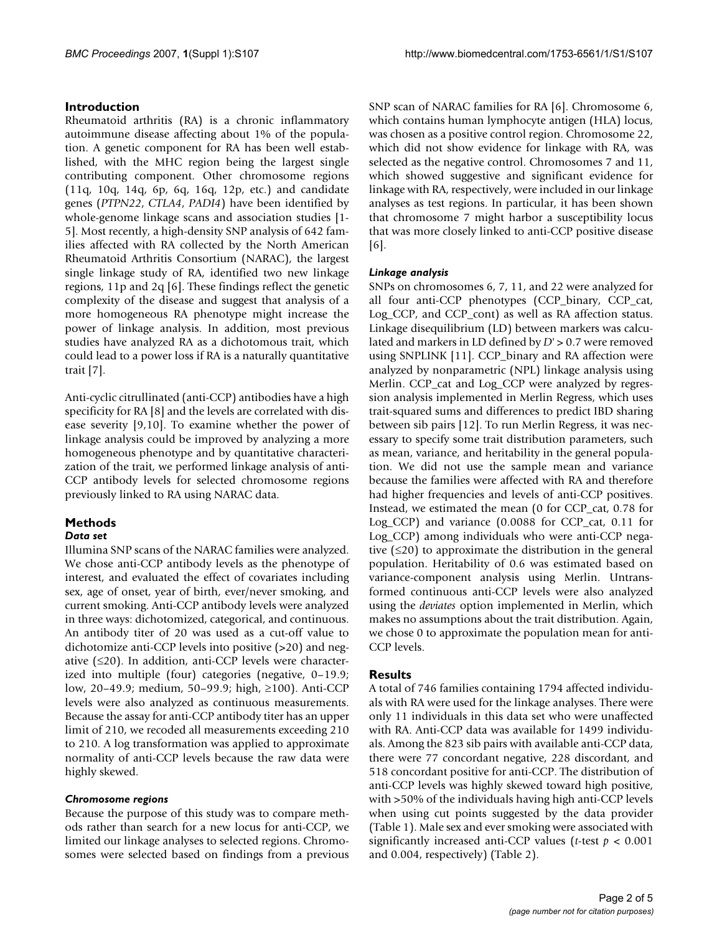#### **Introduction**

Rheumatoid arthritis (RA) is a chronic inflammatory autoimmune disease affecting about 1% of the population. A genetic component for RA has been well established, with the MHC region being the largest single contributing component. Other chromosome regions (11q, 10q, 14q, 6p, 6q, 16q, 12p, etc.) and candidate genes (*PTPN22*, *CTLA4*, *PADI4*) have been identified by whole-genome linkage scans and association studies [1- 5]. Most recently, a high-density SNP analysis of 642 families affected with RA collected by the North American Rheumatoid Arthritis Consortium (NARAC), the largest single linkage study of RA, identified two new linkage regions, 11p and 2q [6]. These findings reflect the genetic complexity of the disease and suggest that analysis of a more homogeneous RA phenotype might increase the power of linkage analysis. In addition, most previous studies have analyzed RA as a dichotomous trait, which could lead to a power loss if RA is a naturally quantitative trait [7].

Anti-cyclic citrullinated (anti-CCP) antibodies have a high specificity for RA [8] and the levels are correlated with disease severity [9,10]. To examine whether the power of linkage analysis could be improved by analyzing a more homogeneous phenotype and by quantitative characterization of the trait, we performed linkage analysis of anti-CCP antibody levels for selected chromosome regions previously linked to RA using NARAC data.

### **Methods**

#### *Data set*

Illumina SNP scans of the NARAC families were analyzed. We chose anti-CCP antibody levels as the phenotype of interest, and evaluated the effect of covariates including sex, age of onset, year of birth, ever/never smoking, and current smoking. Anti-CCP antibody levels were analyzed in three ways: dichotomized, categorical, and continuous. An antibody titer of 20 was used as a cut-off value to dichotomize anti-CCP levels into positive (>20) and negative (≤20). In addition, anti-CCP levels were characterized into multiple (four) categories (negative, 0–19.9; low, 20–49.9; medium, 50–99.9; high, ≥100). Anti-CCP levels were also analyzed as continuous measurements. Because the assay for anti-CCP antibody titer has an upper limit of 210, we recoded all measurements exceeding 210 to 210. A log transformation was applied to approximate normality of anti-CCP levels because the raw data were highly skewed.

#### *Chromosome regions*

Because the purpose of this study was to compare methods rather than search for a new locus for anti-CCP, we limited our linkage analyses to selected regions. Chromosomes were selected based on findings from a previous SNP scan of NARAC families for RA [6]. Chromosome 6, which contains human lymphocyte antigen (HLA) locus, was chosen as a positive control region. Chromosome 22, which did not show evidence for linkage with RA, was selected as the negative control. Chromosomes 7 and 11, which showed suggestive and significant evidence for linkage with RA, respectively, were included in our linkage analyses as test regions. In particular, it has been shown that chromosome 7 might harbor a susceptibility locus that was more closely linked to anti-CCP positive disease [6].

#### *Linkage analysis*

SNPs on chromosomes 6, 7, 11, and 22 were analyzed for all four anti-CCP phenotypes (CCP\_binary, CCP\_cat, Log\_CCP, and CCP\_cont) as well as RA affection status. Linkage disequilibrium (LD) between markers was calculated and markers in LD defined by *D*' > 0.7 were removed using SNPLINK [11]. CCP\_binary and RA affection were analyzed by nonparametric (NPL) linkage analysis using Merlin. CCP\_cat and Log\_CCP were analyzed by regression analysis implemented in Merlin Regress, which uses trait-squared sums and differences to predict IBD sharing between sib pairs [12]. To run Merlin Regress, it was necessary to specify some trait distribution parameters, such as mean, variance, and heritability in the general population. We did not use the sample mean and variance because the families were affected with RA and therefore had higher frequencies and levels of anti-CCP positives. Instead, we estimated the mean (0 for CCP\_cat, 0.78 for Log\_CCP) and variance (0.0088 for CCP\_cat, 0.11 for Log\_CCP) among individuals who were anti-CCP negative  $( \leq 20)$  to approximate the distribution in the general population. Heritability of 0.6 was estimated based on variance-component analysis using Merlin. Untransformed continuous anti-CCP levels were also analyzed using the *deviates* option implemented in Merlin, which makes no assumptions about the trait distribution. Again, we chose 0 to approximate the population mean for anti-CCP levels.

#### **Results**

A total of 746 families containing 1794 affected individuals with RA were used for the linkage analyses. There were only 11 individuals in this data set who were unaffected with RA. Anti-CCP data was available for 1499 individuals. Among the 823 sib pairs with available anti-CCP data, there were 77 concordant negative, 228 discordant, and 518 concordant positive for anti-CCP. The distribution of anti-CCP levels was highly skewed toward high positive, with >50% of the individuals having high anti-CCP levels when using cut points suggested by the data provider (Table 1). Male sex and ever smoking were associated with significantly increased anti-CCP values (*t*-test *p* < 0.001 and 0.004, respectively) (Table 2).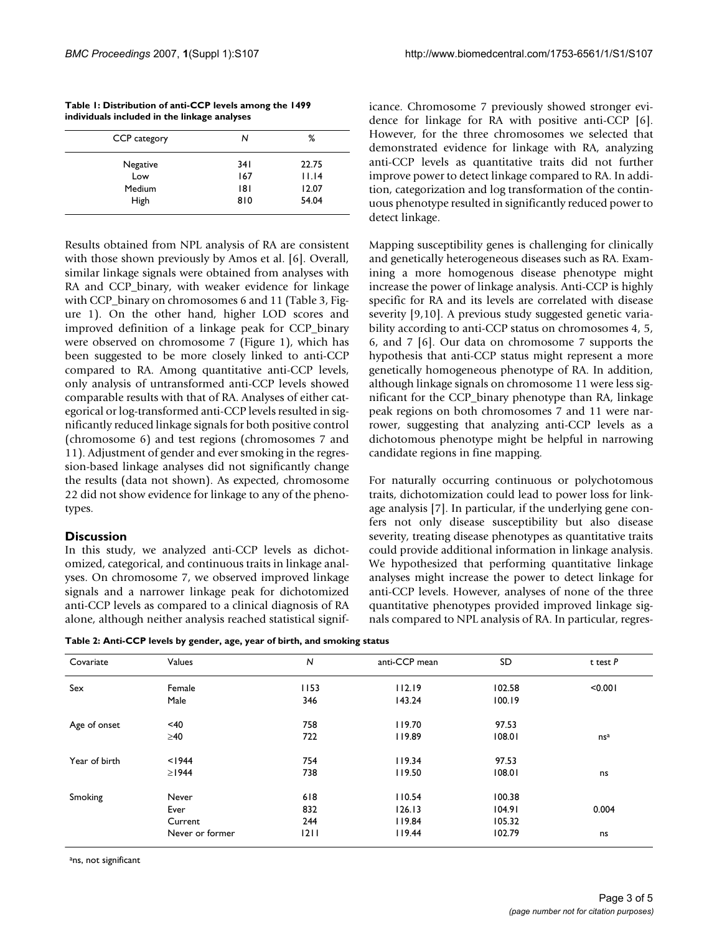| Table 1: Distribution of anti-CCP levels among the 1499 |
|---------------------------------------------------------|
| individuals included in the linkage analyses            |

| CCP category | N    | ℅                   |
|--------------|------|---------------------|
| Negative     | 34 I | 22.75               |
| Low          | 167  | $  \cdot  $ . $  4$ |
| Medium       | 181  | 12.07               |
| High         | 810  | 54.04               |

Results obtained from NPL analysis of RA are consistent with those shown previously by Amos et al. [6]. Overall, similar linkage signals were obtained from analyses with RA and CCP\_binary, with weaker evidence for linkage with CCP binary on chromosomes 6 and 11 (Table 3, Figure 1). On the other hand, higher LOD scores and improved definition of a linkage peak for CCP\_binary were observed on chromosome 7 (Figure 1), which has been suggested to be more closely linked to anti-CCP compared to RA. Among quantitative anti-CCP levels, only analysis of untransformed anti-CCP levels showed comparable results with that of RA. Analyses of either categorical or log-transformed anti-CCP levels resulted in significantly reduced linkage signals for both positive control (chromosome 6) and test regions (chromosomes 7 and 11). Adjustment of gender and ever smoking in the regression-based linkage analyses did not significantly change the results (data not shown). As expected, chromosome 22 did not show evidence for linkage to any of the phenotypes.

#### **Discussion**

In this study, we analyzed anti-CCP levels as dichotomized, categorical, and continuous traits in linkage analyses. On chromosome 7, we observed improved linkage signals and a narrower linkage peak for dichotomized anti-CCP levels as compared to a clinical diagnosis of RA alone, although neither analysis reached statistical signif-

**Table 2: Anti-CCP levels by gender, age, year of birth, and smoking status**

icance. Chromosome 7 previously showed stronger evidence for linkage for RA with positive anti-CCP [6]. However, for the three chromosomes we selected that demonstrated evidence for linkage with RA, analyzing anti-CCP levels as quantitative traits did not further improve power to detect linkage compared to RA. In addition, categorization and log transformation of the continuous phenotype resulted in significantly reduced power to detect linkage.

Mapping susceptibility genes is challenging for clinically and genetically heterogeneous diseases such as RA. Examining a more homogenous disease phenotype might increase the power of linkage analysis. Anti-CCP is highly specific for RA and its levels are correlated with disease severity [9,10]. A previous study suggested genetic variability according to anti-CCP status on chromosomes 4, 5, 6, and 7 [6]. Our data on chromosome 7 supports the hypothesis that anti-CCP status might represent a more genetically homogeneous phenotype of RA. In addition, although linkage signals on chromosome 11 were less significant for the CCP\_binary phenotype than RA, linkage peak regions on both chromosomes 7 and 11 were narrower, suggesting that analyzing anti-CCP levels as a dichotomous phenotype might be helpful in narrowing candidate regions in fine mapping.

For naturally occurring continuous or polychotomous traits, dichotomization could lead to power loss for linkage analysis [7]. In particular, if the underlying gene confers not only disease susceptibility but also disease severity, treating disease phenotypes as quantitative traits could provide additional information in linkage analysis. We hypothesized that performing quantitative linkage analyses might increase the power to detect linkage for anti-CCP levels. However, analyses of none of the three quantitative phenotypes provided improved linkage signals compared to NPL analysis of RA. In particular, regres-

| Covariate     | Values          | N    | anti-CCP mean | SD     | $t$ test $P$    |
|---------------|-----------------|------|---------------|--------|-----------------|
| Sex           | Female          | 1153 | 112.19        | 102.58 | < 0.001         |
|               | Male            | 346  | 143.24        | 100.19 |                 |
| Age of onset  | $<$ 40          | 758  | 119.70        | 97.53  |                 |
|               | $\geq 40$       | 722  | 119.89        | 108.01 | ns <sup>a</sup> |
| Year of birth | < 1944          | 754  | 119.34        | 97.53  |                 |
|               | $\geq$   944    | 738  | 119.50        | 108.01 | ns              |
| Smoking       | Never           | 618  | 110.54        | 100.38 |                 |
|               | Ever            | 832  | 126.13        | 104.91 | 0.004           |
|               | Current         | 244  | 119.84        | 105.32 |                 |
|               | Never or former | 1211 | 119.44        | 102.79 | ns              |

ans, not significant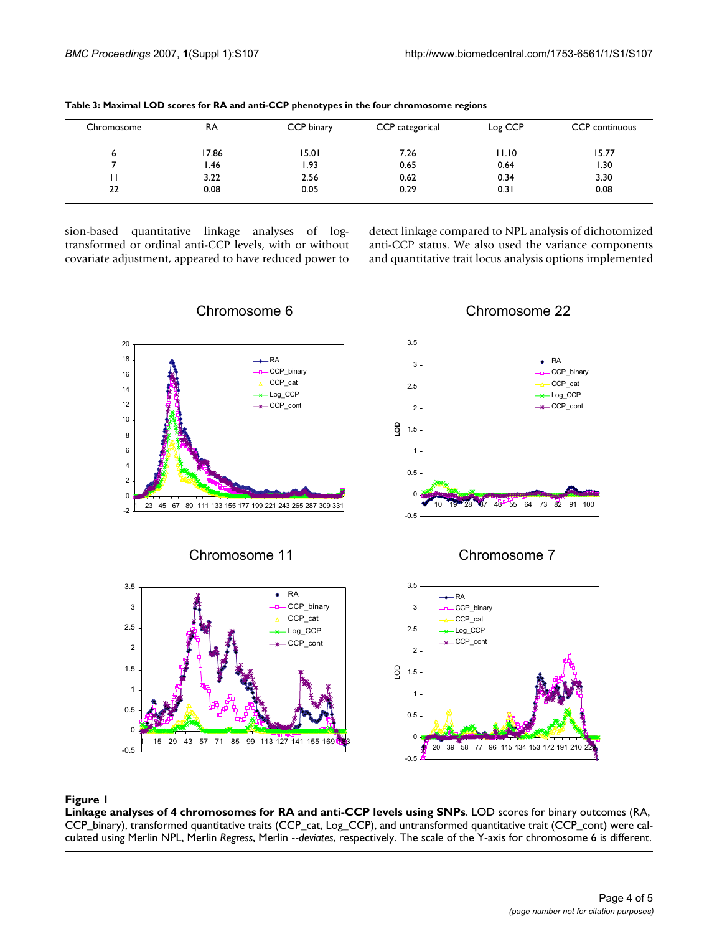| Chromosome | RA    | CCP binary | CCP categorical | Log CCP | <b>CCP</b> continuous |
|------------|-------|------------|-----------------|---------|-----------------------|
| ь          | 17.86 | 15.01      | 7.26            | 11.10   | 15.77                 |
|            | l.46  | 1.93       | 0.65            | 0.64    | 1.30                  |
|            | 3.22  | 2.56       | 0.62            | 0.34    | 3.30                  |
| 22         | 0.08  | 0.05       | 0.29            | 0.31    | 0.08                  |
|            |       |            |                 |         |                       |

**Table 3: Maximal LOD scores for RA and anti-CCP phenotypes in the four chromosome regions**

sion-based quantitative linkage analyses of logtransformed or ordinal anti-CCP levels, with or without covariate adjustment, appeared to have reduced power to detect linkage compared to NPL analysis of dichotomized anti-CCP status. We also used the variance components and quantitative trait locus analysis options implemented



Chromosome 6

### Chromosome 22

#### Linkage analyses of 4 chromosomes fo **Figure 1** r RA and anti-CCP levels using SNPs

**Linkage analyses of 4 chromosomes for RA and anti-CCP levels using SNPs**. LOD scores for binary outcomes (RA, CCP\_binary), transformed quantitative traits (CCP\_cat, Log\_CCP), and untransformed quantitative trait (CCP\_cont) were calculated using Merlin NPL, Merlin *Regress*, Merlin --*deviates*, respectively. The scale of the Y-axis for chromosome 6 is different.